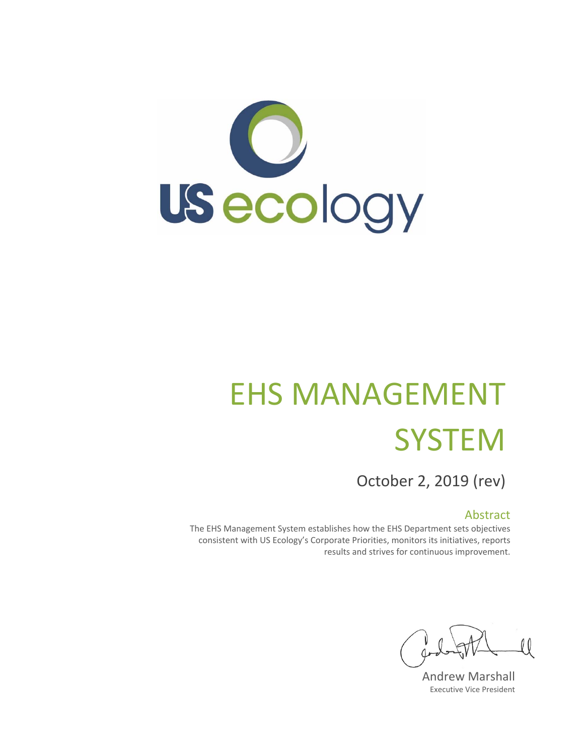

# EHS MANAGEMENT **SYSTEM**

October 2, 2019 (rev)

# Abstract

The EHS Management System establishes how the EHS Department sets objectives consistent with US Ecology's Corporate Priorities, monitors its initiatives, reports results and strives for continuous improvement.

 $\overline{\mathcal{U}}$ 

Andrew Marshall Executive Vice President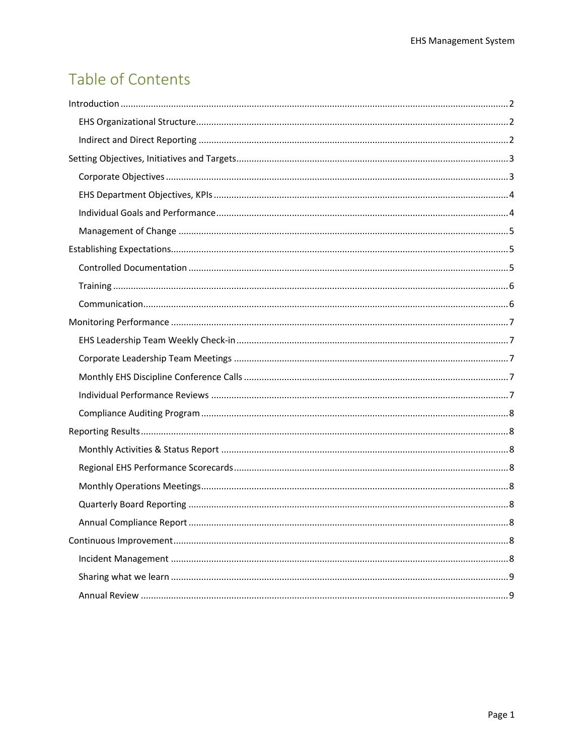# Table of Contents

| . 8 |
|-----|
|     |
|     |
|     |
|     |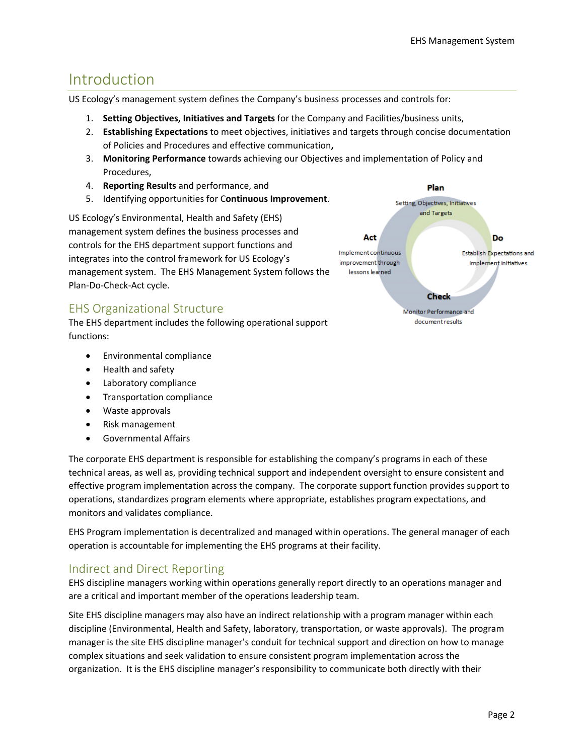# Introduction

US Ecology's management system defines the Company's business processes and controls for:

- 1. **Setting Objectives, Initiatives and Targets** for the Company and Facilities/business units,
- 2. **Establishing Expectations** to meet objectives, initiatives and targets through concise documentation of Policies and Procedures and effective communication**,**
- 3. **Monitoring Performance** towards achieving our Objectives and implementation of Policy and Procedures,
- 4. **Reporting Results** and performance, and
- 5. Identifying opportunities for C**ontinuous Improvement**.

US Ecology's Environmental, Health and Safety (EHS) management system defines the business processes and controls for the EHS department support functions and integrates into the control framework for US Ecology's management system. The EHS Management System follows the Plan‐Do‐Check‐Act cycle.

# EHS Organizational Structure

The EHS department includes the following operational support functions:

- Environmental compliance
- Health and safety
- Laboratory compliance
- Transportation compliance
- Waste approvals
- Risk management
- Governmental Affairs

The corporate EHS department is responsible for establishing the company's programs in each of these technical areas, as well as, providing technical support and independent oversight to ensure consistent and effective program implementation across the company. The corporate support function provides support to operations, standardizes program elements where appropriate, establishes program expectations, and monitors and validates compliance.

EHS Program implementation is decentralized and managed within operations. The general manager of each operation is accountable for implementing the EHS programs at their facility.

# Indirect and Direct Reporting

EHS discipline managers working within operations generally report directly to an operations manager and are a critical and important member of the operations leadership team.

Site EHS discipline managers may also have an indirect relationship with a program manager within each discipline (Environmental, Health and Safety, laboratory, transportation, or waste approvals). The program manager is the site EHS discipline manager's conduit for technical support and direction on how to manage complex situations and seek validation to ensure consistent program implementation across the organization. It is the EHS discipline manager's responsibility to communicate both directly with their

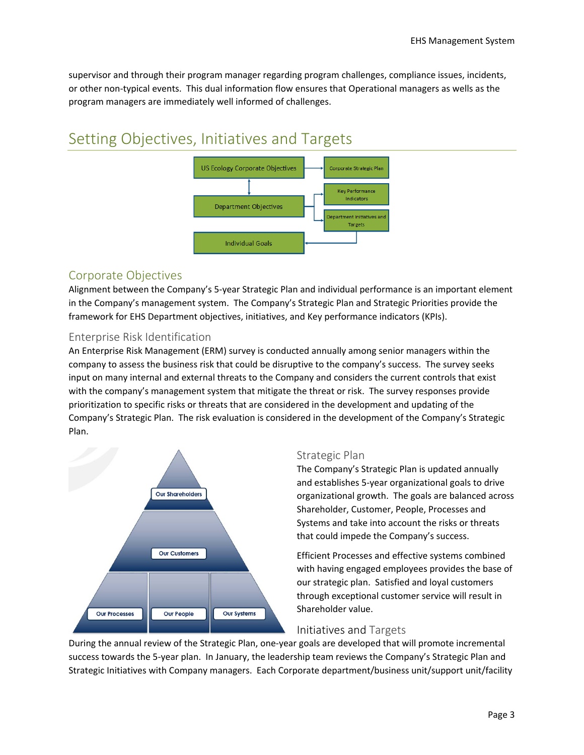supervisor and through their program manager regarding program challenges, compliance issues, incidents, or other non‐typical events. This dual information flow ensures that Operational managers as wells as the program managers are immediately well informed of challenges.

# Setting Objectives, Initiatives and Targets



# Corporate Objectives

Alignment between the Company's 5‐year Strategic Plan and individual performance is an important element in the Company's management system. The Company's Strategic Plan and Strategic Priorities provide the framework for EHS Department objectives, initiatives, and Key performance indicators (KPIs).

#### Enterprise Risk Identification

An Enterprise Risk Management (ERM) survey is conducted annually among senior managers within the company to assess the business risk that could be disruptive to the company's success. The survey seeks input on many internal and external threats to the Company and considers the current controls that exist with the company's management system that mitigate the threat or risk. The survey responses provide prioritization to specific risks or threats that are considered in the development and updating of the Company's Strategic Plan. The risk evaluation is considered in the development of the Company's Strategic Plan.



#### Strategic Plan

The Company's Strategic Plan is updated annually and establishes 5‐year organizational goals to drive organizational growth. The goals are balanced across Shareholder, Customer, People, Processes and Systems and take into account the risks or threats that could impede the Company's success.

Efficient Processes and effective systems combined with having engaged employees provides the base of our strategic plan. Satisfied and loyal customers through exceptional customer service will result in Shareholder value.

#### Initiatives and Targets

During the annual review of the Strategic Plan, one‐year goals are developed that will promote incremental success towards the 5‐year plan. In January, the leadership team reviews the Company's Strategic Plan and Strategic Initiatives with Company managers. Each Corporate department/business unit/support unit/facility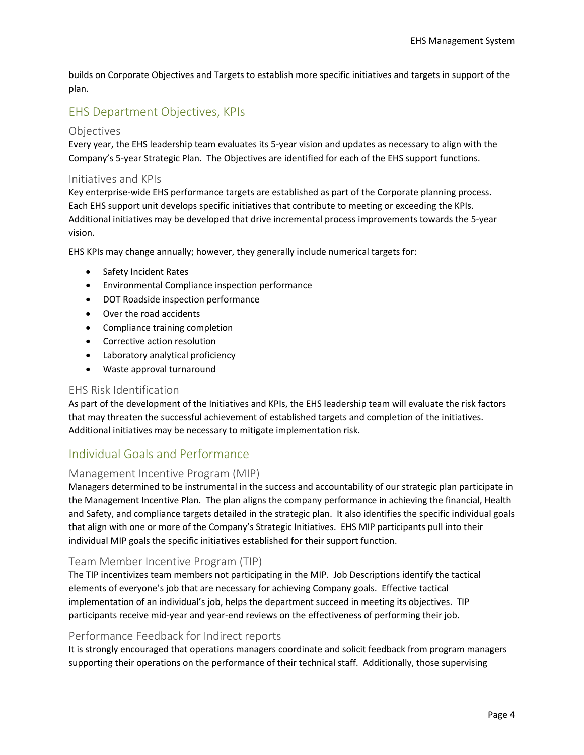builds on Corporate Objectives and Targets to establish more specific initiatives and targets in support of the plan.

# EHS Department Objectives, KPIs

#### Objectives

Every year, the EHS leadership team evaluates its 5‐year vision and updates as necessary to align with the Company's 5‐year Strategic Plan. The Objectives are identified for each of the EHS support functions.

#### Initiatives and KPIs

Key enterprise-wide EHS performance targets are established as part of the Corporate planning process. Each EHS support unit develops specific initiatives that contribute to meeting or exceeding the KPIs. Additional initiatives may be developed that drive incremental process improvements towards the 5‐year vision.

EHS KPIs may change annually; however, they generally include numerical targets for:

- Safety Incident Rates
- Environmental Compliance inspection performance
- DOT Roadside inspection performance
- Over the road accidents
- Compliance training completion
- Corrective action resolution
- Laboratory analytical proficiency
- Waste approval turnaround

#### EHS Risk Identification

As part of the development of the Initiatives and KPIs, the EHS leadership team will evaluate the risk factors that may threaten the successful achievement of established targets and completion of the initiatives. Additional initiatives may be necessary to mitigate implementation risk.

# Individual Goals and Performance

#### Management Incentive Program (MIP)

Managers determined to be instrumental in the success and accountability of our strategic plan participate in the Management Incentive Plan. The plan aligns the company performance in achieving the financial, Health and Safety, and compliance targets detailed in the strategic plan. It also identifies the specific individual goals that align with one or more of the Company's Strategic Initiatives. EHS MIP participants pull into their individual MIP goals the specific initiatives established for their support function.

#### Team Member Incentive Program (TIP)

The TIP incentivizes team members not participating in the MIP. Job Descriptions identify the tactical elements of everyone's job that are necessary for achieving Company goals. Effective tactical implementation of an individual's job, helps the department succeed in meeting its objectives. TIP participants receive mid-year and year-end reviews on the effectiveness of performing their job.

#### Performance Feedback for Indirect reports

It is strongly encouraged that operations managers coordinate and solicit feedback from program managers supporting their operations on the performance of their technical staff. Additionally, those supervising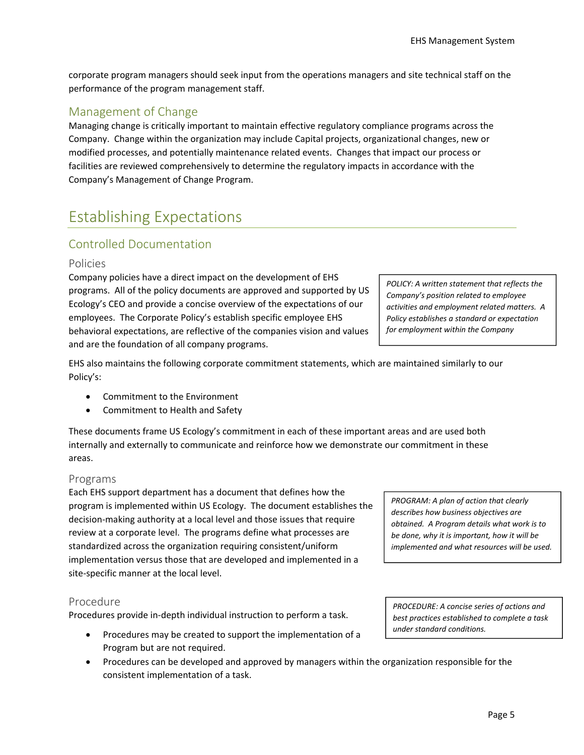corporate program managers should seek input from the operations managers and site technical staff on the performance of the program management staff.

# Management of Change

Managing change is critically important to maintain effective regulatory compliance programs across the Company. Change within the organization may include Capital projects, organizational changes, new or modified processes, and potentially maintenance related events. Changes that impact our process or facilities are reviewed comprehensively to determine the regulatory impacts in accordance with the Company's Management of Change Program.

# Establishing Expectations

# Controlled Documentation

#### Policies

Company policies have a direct impact on the development of EHS programs. All of the policy documents are approved and supported by US Ecology's CEO and provide a concise overview of the expectations of our employees. The Corporate Policy's establish specific employee EHS behavioral expectations, are reflective of the companies vision and values and are the foundation of all company programs.

*Company's position related to employee activities and employment related matters. A Policy establishes a standard or expectation for employment within the Company*

*POLICY: A written statement that reflects the* 

EHS also maintains the following corporate commitment statements, which are maintained similarly to our Policy's:

- Commitment to the Environment
- Commitment to Health and Safety

These documents frame US Ecology's commitment in each of these important areas and are used both internally and externally to communicate and reinforce how we demonstrate our commitment in these areas.

#### Programs

Each EHS support department has a document that defines how the program is implemented within US Ecology. The document establishes the decision‐making authority at a local level and those issues that require review at a corporate level. The programs define what processes are standardized across the organization requiring consistent/uniform implementation versus those that are developed and implemented in a site‐specific manner at the local level.

#### Procedure

Procedures provide in‐depth individual instruction to perform a task.

- Procedures may be created to support the implementation of a Program but are not required.
- Procedures can be developed and approved by managers within the organization responsible for the consistent implementation of a task.

*PROGRAM: A plan of action that clearly describes how business objectives are obtained. A Program details what work is to be done, why it is important, how it will be implemented and what resources will be used.* 

*PROCEDURE: A concise series of actions and best practices established to complete a task under standard conditions.*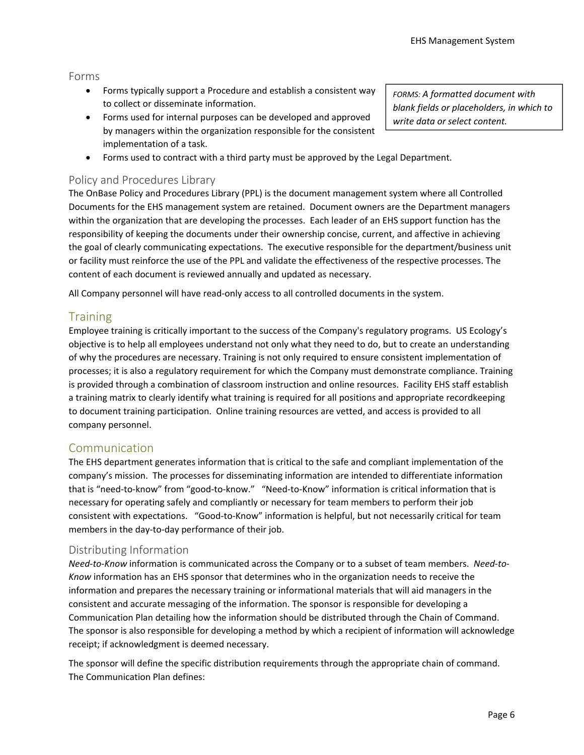#### Forms

- Forms typically support a Procedure and establish a consistent way to collect or disseminate information.
- Forms used for internal purposes can be developed and approved by managers within the organization responsible for the consistent implementation of a task.
- Forms used to contract with a third party must be approved by the Legal Department.

### Policy and Procedures Library

The OnBase Policy and Procedures Library (PPL) is the document management system where all Controlled Documents for the EHS management system are retained. Document owners are the Department managers within the organization that are developing the processes. Each leader of an EHS support function has the responsibility of keeping the documents under their ownership concise, current, and affective in achieving the goal of clearly communicating expectations. The executive responsible for the department/business unit or facility must reinforce the use of the PPL and validate the effectiveness of the respective processes. The content of each document is reviewed annually and updated as necessary.

All Company personnel will have read‐only access to all controlled documents in the system.

# **Training**

Employee training is critically important to the success of the Company's regulatory programs. US Ecology's objective is to help all employees understand not only what they need to do, but to create an understanding of why the procedures are necessary. Training is not only required to ensure consistent implementation of processes; it is also a regulatory requirement for which the Company must demonstrate compliance. Training is provided through a combination of classroom instruction and online resources. Facility EHS staff establish a training matrix to clearly identify what training is required for all positions and appropriate recordkeeping to document training participation. Online training resources are vetted, and access is provided to all company personnel.

# Communication

The EHS department generates information that is critical to the safe and compliant implementation of the company's mission. The processes for disseminating information are intended to differentiate information that is "need-to-know" from "good-to-know." "Need-to-Know" information is critical information that is necessary for operating safely and compliantly or necessary for team members to perform their job consistent with expectations. "Good‐to‐Know" information is helpful, but not necessarily critical for team members in the day‐to‐day performance of their job.

#### Distributing Information

*Need‐to‐Know* information is communicated across the Company or to a subset of team members. *Need‐to‐ Know* information has an EHS sponsor that determines who in the organization needs to receive the information and prepares the necessary training or informational materials that will aid managers in the consistent and accurate messaging of the information. The sponsor is responsible for developing a Communication Plan detailing how the information should be distributed through the Chain of Command. The sponsor is also responsible for developing a method by which a recipient of information will acknowledge receipt; if acknowledgment is deemed necessary.

The sponsor will define the specific distribution requirements through the appropriate chain of command. The Communication Plan defines:

*FORMS: A formatted document with blank fields or placeholders, in which to write data or select content.*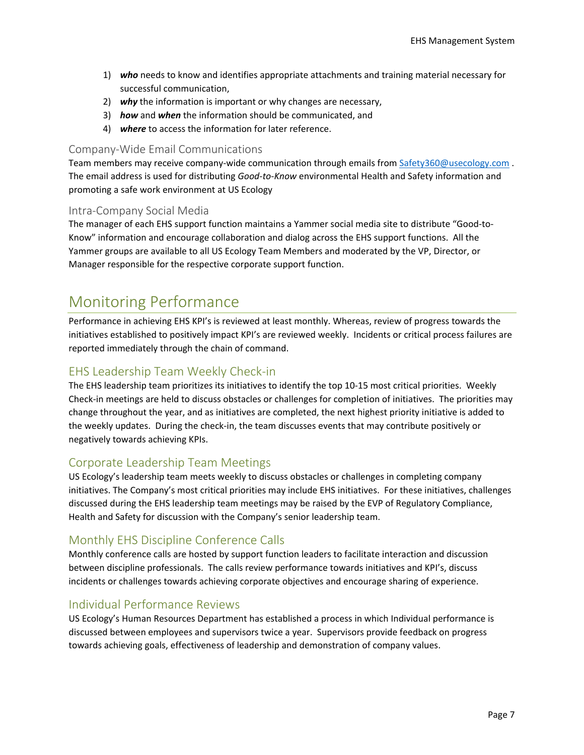- 1) *who* needs to know and identifies appropriate attachments and training material necessary for successful communication,
- 2) *why* the information is important or why changes are necessary,
- 3) *how* and *when* the information should be communicated, and
- 4) *where* to access the information for later reference.

### Company‐Wide Email Communications

Team members may receive company-wide communication through emails from Safety360@usecology.com. The email address is used for distributing *Good‐to‐Know* environmental Health and Safety information and promoting a safe work environment at US Ecology

#### Intra‐Company Social Media

The manager of each EHS support function maintains a Yammer social media site to distribute "Good‐to‐ Know" information and encourage collaboration and dialog across the EHS support functions. All the Yammer groups are available to all US Ecology Team Members and moderated by the VP, Director, or Manager responsible for the respective corporate support function.

# Monitoring Performance

Performance in achieving EHS KPI's is reviewed at least monthly. Whereas, review of progress towards the initiatives established to positively impact KPI's are reviewed weekly. Incidents or critical process failures are reported immediately through the chain of command.

# EHS Leadership Team Weekly Check‐in

The EHS leadership team prioritizes its initiatives to identify the top 10‐15 most critical priorities. Weekly Check‐in meetings are held to discuss obstacles or challenges for completion of initiatives. The priorities may change throughout the year, and as initiatives are completed, the next highest priority initiative is added to the weekly updates. During the check‐in, the team discusses events that may contribute positively or negatively towards achieving KPIs.

# Corporate Leadership Team Meetings

US Ecology's leadership team meets weekly to discuss obstacles or challenges in completing company initiatives. The Company's most critical priorities may include EHS initiatives. For these initiatives, challenges discussed during the EHS leadership team meetings may be raised by the EVP of Regulatory Compliance, Health and Safety for discussion with the Company's senior leadership team.

# Monthly EHS Discipline Conference Calls

Monthly conference calls are hosted by support function leaders to facilitate interaction and discussion between discipline professionals. The calls review performance towards initiatives and KPI's, discuss incidents or challenges towards achieving corporate objectives and encourage sharing of experience.

# Individual Performance Reviews

US Ecology's Human Resources Department has established a process in which Individual performance is discussed between employees and supervisors twice a year. Supervisors provide feedback on progress towards achieving goals, effectiveness of leadership and demonstration of company values.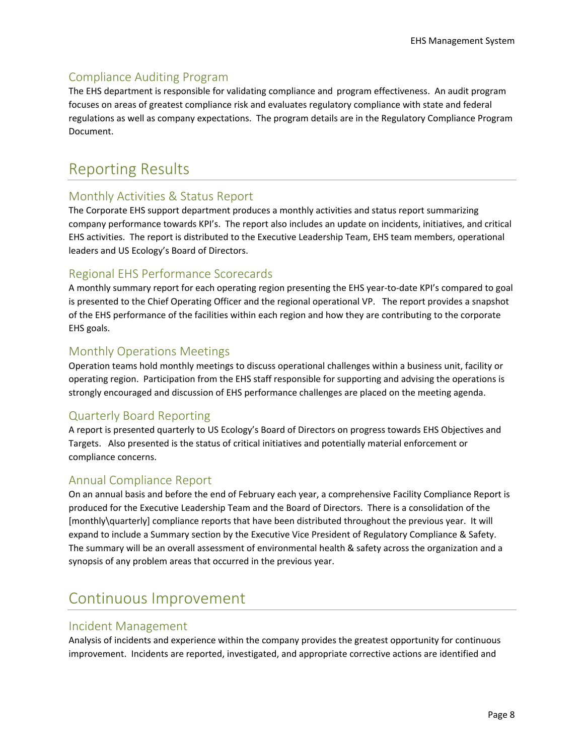# Compliance Auditing Program

The EHS department is responsible for validating compliance and program effectiveness. An audit program focuses on areas of greatest compliance risk and evaluates regulatory compliance with state and federal regulations as well as company expectations. The program details are in the Regulatory Compliance Program Document.

# Reporting Results

# Monthly Activities & Status Report

The Corporate EHS support department produces a monthly activities and status report summarizing company performance towards KPI's. The report also includes an update on incidents, initiatives, and critical EHS activities. The report is distributed to the Executive Leadership Team, EHS team members, operational leaders and US Ecology's Board of Directors.

# Regional EHS Performance Scorecards

A monthly summary report for each operating region presenting the EHS year-to-date KPI's compared to goal is presented to the Chief Operating Officer and the regional operational VP. The report provides a snapshot of the EHS performance of the facilities within each region and how they are contributing to the corporate EHS goals.

# Monthly Operations Meetings

Operation teams hold monthly meetings to discuss operational challenges within a business unit, facility or operating region. Participation from the EHS staff responsible for supporting and advising the operations is strongly encouraged and discussion of EHS performance challenges are placed on the meeting agenda.

# Quarterly Board Reporting

A report is presented quarterly to US Ecology's Board of Directors on progress towards EHS Objectives and Targets. Also presented is the status of critical initiatives and potentially material enforcement or compliance concerns.

# Annual Compliance Report

On an annual basis and before the end of February each year, a comprehensive Facility Compliance Report is produced for the Executive Leadership Team and the Board of Directors. There is a consolidation of the [monthly\quarterly] compliance reports that have been distributed throughout the previous year. It will expand to include a Summary section by the Executive Vice President of Regulatory Compliance & Safety. The summary will be an overall assessment of environmental health & safety across the organization and a synopsis of any problem areas that occurred in the previous year.

# Continuous Improvement

#### Incident Management

Analysis of incidents and experience within the company provides the greatest opportunity for continuous improvement. Incidents are reported, investigated, and appropriate corrective actions are identified and